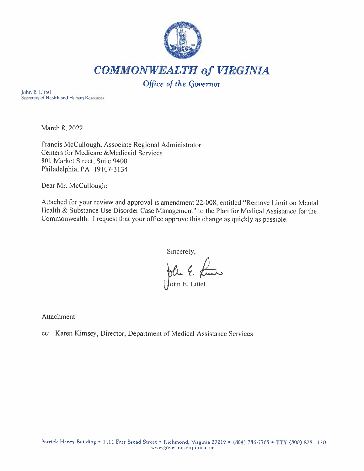

John E. Littel Secretary of Health and Human Resources

March 8, 2022

Francis McCullough, Associate Regional Administrator Centers for Medicare &Medicaid Services 801 Market Street, Suite 9400 Philadelphia, PA 19107-3134

Dear Mr. McCullough:

Attached for your review and approval is amendment 22-008, entitled "Remove Limit on Mental Health & Substance Use Disorder Case Management" to the Plan for Medical Assistance for the Commonwealth. I request that your office approve this change as quickly as possible.

Sincerely, plu E. Ame

Attachment

cc: Karen Kimsey, Director, Department of Medical Assistance Services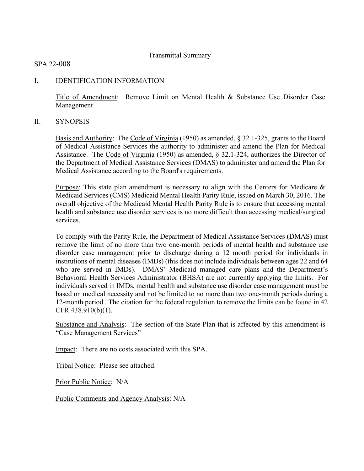# Transmittal Summary

# SPA 22-008

# I. IDENTIFICATION INFORMATION

Title of Amendment: Remove Limit on Mental Health & Substance Use Disorder Case Management

# II. SYNOPSIS

Basis and Authority: The Code of Virginia (1950) as amended, § 32.1-325, grants to the Board of Medical Assistance Services the authority to administer and amend the Plan for Medical Assistance. The Code of Virginia (1950) as amended, § 32.1-324, authorizes the Director of the Department of Medical Assistance Services (DMAS) to administer and amend the Plan for Medical Assistance according to the Board's requirements.

Purpose: This state plan amendment is necessary to align with the Centers for Medicare  $\&$ Medicaid Services (CMS) Medicaid Mental Health Parity Rule, issued on March 30, 2016. The overall objective of the Medicaid Mental Health Parity Rule is to ensure that accessing mental health and substance use disorder services is no more difficult than accessing medical/surgical services.

To comply with the Parity Rule, the Department of Medical Assistance Services (DMAS) must remove the limit of no more than two one-month periods of mental health and substance use disorder case management prior to discharge during a 12 month period for individuals in institutions of mental diseases (IMDs) (this does not include individuals between ages 22 and 64 who are served in IMDs). DMAS' Medicaid managed care plans and the Department's Behavioral Health Services Administrator (BHSA) are not currently applying the limits. For individuals served in IMDs, mental health and substance use disorder case management must be based on medical necessity and not be limited to no more than two one-month periods during a 12-month period. The citation for the federal regulation to remove the limits can be found in 42 CFR 438.910(b)(1).

Substance and Analysis: The section of the State Plan that is affected by this amendment is "Case Management Services"

Impact: There are no costs associated with this SPA.

Tribal Notice: Please see attached.

Prior Public Notice: N/A

Public Comments and Agency Analysis: N/A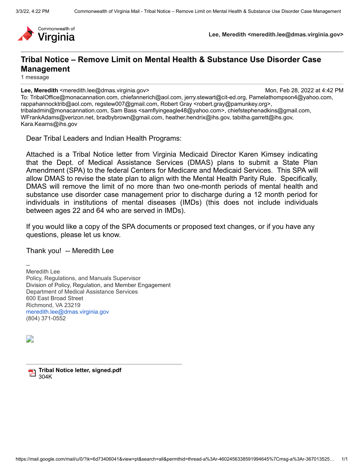

**Lee, Meredith <meredith.lee@dmas.virginia.gov>**

# **Tribal Notice – Remove Limit on Mental Health & Substance Use Disorder Case Management**

1 message

**Lee, Meredith** <meredith.lee@dmas.virginia.gov> Mon, Feb 28, 2022 at 4:42 PM To: TribalOffice@monacannation.com, chiefannerich@aol.com, jerry.stewart@cit-ed.org, Pamelathompson4@yahoo.com, rappahannocktrib@aol.com, regstew007@gmail.com, Robert Gray <robert.gray@pamunkey.org>, tribaladmin@monacannation.com, Sam Bass <samflyingeagle48@yahoo.com>, chiefstephenadkins@gmail.com, WFrankAdams@verizon.net, bradbybrown@gmail.com, heather.hendrix@ihs.gov, tabitha.garrett@ihs.gov, Kara.Kearns@ihs.gov

Dear Tribal Leaders and Indian Health Programs:

Attached is a Tribal Notice letter from Virginia Medicaid Director Karen Kimsey indicating that the Dept. of Medical Assistance Services (DMAS) plans to submit a State Plan Amendment (SPA) to the federal Centers for Medicare and Medicaid Services. This SPA will allow DMAS to revise the state plan to align with the Mental Health Parity Rule. Specifically, DMAS will remove the limit of no more than two one-month periods of mental health and substance use disorder case management prior to discharge during a 12 month period for individuals in institutions of mental diseases (IMDs) (this does not include individuals between ages 22 and 64 who are served in IMDs).

If you would like a copy of the SPA documents or proposed text changes, or if you have any questions, please let us know.

Thank you! -- Meredith Lee

Meredith Lee Policy, Regulations, and Manuals Supervisor Division of Policy, Regulation, and Member Engagement Department of Medical Assistance Services 600 East Broad Street Richmond, VA 23219 [meredith.lee@dmas.virginia.gov](mailto:meredith.lee@dmas.virginia.gov) (804) 371-0552

D

--

**Tribal Notice letter, signed.pdf 2** 304K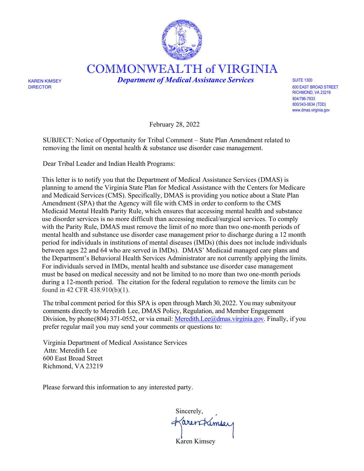

COMMONWEALTH of VIRGINIA

KAREN KIMSEY *Department of Medical Assistance Services* SUITE 1300

DIRECTOR 600 EAST BROAD STREET RICHMOND, VA 23219 804/786-7933 800/343-0634 (TDD) [www.dmas.virginia.gov](http://www.dmas.virginia.gov/)

February 28, 2022

SUBJECT: Notice of Opportunity for Tribal Comment – State Plan Amendment related to removing the limit on mental health & substance use disorder case management.

Dear Tribal Leader and Indian Health Programs:

This letter is to notify you that the Department of Medical Assistance Services (DMAS) is planning to amend the Virginia State Plan for Medical Assistance with the Centers for Medicare and Medicaid Services (CMS). Specifically, DMAS is providing you notice about a State Plan Amendment (SPA) that the Agency will file with CMS in order to conform to the CMS Medicaid Mental Health Parity Rule, which ensures that accessing mental health and substance use disorder services is no more difficult than accessing medical/surgical services. To comply with the Parity Rule, DMAS must remove the limit of no more than two one-month periods of mental health and substance use disorder case management prior to discharge during a 12 month period for individuals in institutions of mental diseases (IMDs) (this does not include individuals between ages 22 and 64 who are served in IMDs). DMAS' Medicaid managed care plans and the Department's Behavioral Health Services Administrator are not currently applying the limits. For individuals served in IMDs, mental health and substance use disorder case management must be based on medical necessity and not be limited to no more than two one-month periods during a 12-month period. The citation for the federal regulation to remove the limits can be found in 42 CFR 438.910(b)(1).

The tribal comment period for this SPA is open through March 30, 2022. You may submit your comments directly to Meredith Lee, DMAS Policy, Regulation, and Member Engagement Division, by phone(804) 371-0552, or via email: [Meredith.Lee@dmas.virginia.gov.](mailto:Meredith.Lee@dmas.virginia.gov) Finally, if you prefer regular mail you may send your comments or questions to:

Virginia Department of Medical Assistance Services Attn: Meredith Lee 600 East Broad Street Richmond, VA 23219

Please forward this information to any interested party.

 Sincerely, farentlimser Karen Kimsey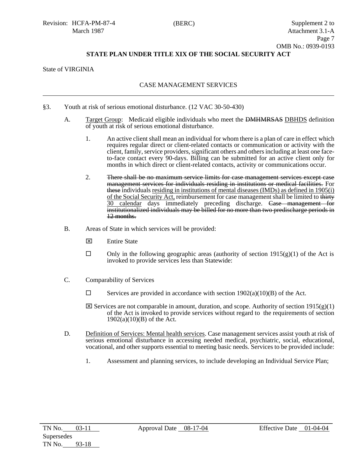## State of VIRGINIA

## CASE MANAGEMENT SERVICES

- §3. Youth at risk of serious emotional disturbance. (12 VAC 30-50-430)
	- A. Target Group: Medicaid eligible individuals who meet the DMHMRSAS DBHDS definition of youth at risk of serious emotional disturbance.
		- 1. An active client shall mean an individual for whom there is a plan of care in effect which requires regular direct or client-related contacts or communication or activity with the client, family, service providers, significant others and others including at least one faceto-face contact every 90-days. Billing can be submitted for an active client only for months in which direct or client-related contacts, activity or communications occur.
		- 2. There shall be no maximum service limits for case management services except case management services for individuals residing in institutions or medical facilities. For these individuals residing in institutions of mental diseases (IMDs) as defined in 1905(i) of the Social Security Act, reimbursement for case management shall be limited to thirty 30 calendar days immediately preceding discharge. Case management for institutionalized individuals may be billed for no more than two predischarge periods in 12 months.
	- B. Areas of State in which services will be provided:
		- $\boxtimes$  Entire State
		- $\Box$  Only in the following geographic areas (authority of section 1915(g)(1) of the Act is invoked to provide services less than Statewide:
	- C. Comparability of Services
		- $\Box$  Services are provided in accordance with section 1902(a)(10)(B) of the Act.
		- $\boxtimes$  Services are not comparable in amount, duration, and scope. Authority of section 1915(g)(1) of the Act is invoked to provide services without regard to the requirements of section  $1902(a)(10)(B)$  of the Act.
	- D. Definition of Services: Mental health services. Case management services assist youth at risk of serious emotional disturbance in accessing needed medical, psychiatric, social, educational, vocational, and other supports essential to meeting basic needs. Services to be provided include:
		- 1. Assessment and planning services, to include developing an Individual Service Plan;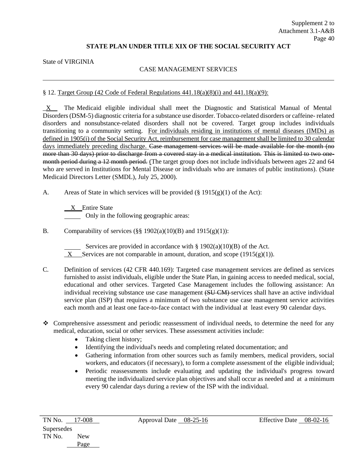State of VIRGINIA

## CASE MANAGEMENT SERVICES

### § 12. Target Group (42 Code of Federal Regulations  $441.18(a)(8)(i)$  and  $441.18(a)(9)$ :

X The Medicaid eligible individual shall meet the Diagnostic and Statistical Manual of Mental Disorders (DSM-5) diagnostic criteria for a substance use disorder. Tobacco-related disorders or caffeine- related disorders and nonsubstance-related disorders shall not be covered. Target group includes individuals transitioning to a community setting. For individuals residing in institutions of mental diseases (IMDs) as defined in 1905(i) of the Social Security Act, reimbursement for case management shall be limited to 30 calendar days immediately preceding discharge. Case management services will be made available for the month (no more than 30 days) prior to discharge from a covered stay in a medical institution. This is limited to two onemonth period during a 12 month period. (The target group does not include individuals between ages 22 and 64 who are served in Institutions for Mental Disease or individuals who are inmates of public institutions). (State Medicaid Directors Letter (SMDL), July 25, 2000).

A. Areas of State in which services will be provided  $(\S 1915(g)(1)$  of the Act):

 X Entire State Only in the following geographic areas:

B. Comparability of services  $(\S \S 1902(a)(10)(B)$  and  $1915(g)(1))$ :

Services are provided in accordance with § 1902(a)(10)(B) of the Act.

- $X$  Services are not comparable in amount, duration, and scope (1915(g)(1)).
- C. Definition of services (42 CFR 440.169): Targeted case management services are defined as services furnished to assist individuals, eligible under the State Plan, in gaining access to needed medical, social, educational and other services. Targeted Case Management includes the following assistance: An individual receiving substance use case management (SUCM) services shall have an active individual service plan (ISP) that requires a minimum of two substance use case management service activities each month and at least one face-to-face contact with the individual at least every 90 calendar days.
- Comprehensive assessment and periodic reassessment of individual needs, to determine the need for any medical, education, social or other services. These assessment activities include:
	- Taking client history;
	- Identifying the individual's needs and completing related documentation; and
	- Gathering information from other sources such as family members, medical providers, social workers, and educators (if necessary), to form a complete assessment of the eligible individual;
	- Periodic reassessments include evaluating and updating the individual's progress toward meeting the individualized service plan objectives and shall occur as needed and at a minimum every 90 calendar days during a review of the ISP with the individual.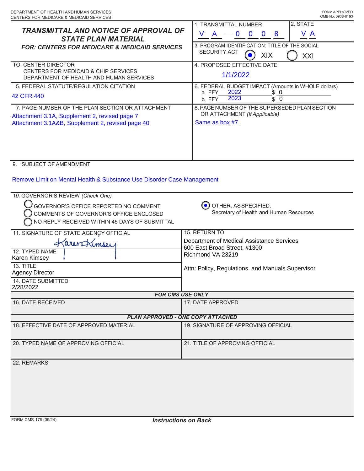| <b>TRANSMITTAL AND NOTICE OF APPROVAL OF</b><br><b>STATE PLAN MATERIAL</b><br><b>FOR: CENTERS FOR MEDICARE &amp; MEDICAID SERVICES</b><br>TO: CENTER DIRECTOR<br><b>CENTERS FOR MEDICAID &amp; CHIP SERVICES</b><br>DEPARTMENT OF HEALTH AND HUMAN SERVICES<br>5. FEDERAL STATUTE/REGULATION CITATION<br>42 CFR 440<br>7. PAGE NUMBER OF THE PLAN SECTION OR ATTACHMENT<br>Attachment 3.1A, Supplement 2, revised page 7<br>Attachment 3.1A&B, Supplement 2, revised page 40 | 2. STATE<br>1. TRANSMITTAL NUMBER<br>V A<br>$\mathsf{A}$<br>V<br>$= 0 0$<br>$\mathbf{0}$<br>8<br>3. PROGRAM IDENTIFICATION: TITLE OF THE SOCIAL<br>SECURITY ACT<br>XIX<br>XXI<br>4. PROPOSED EFFECTIVE DATE<br>1/1/2022<br>6. FEDERAL BUDGET IMPACT (Amounts in WHOLE dollars)<br>2022<br>a. FFY<br><u>\$ 0</u><br>2023<br>\$0<br>b. FFY<br>8. PAGE NUMBER OF THE SUPERSEDED PLAN SECTION<br>OR ATTACHMENT (If Applicable)<br>Same as box #7. |
|------------------------------------------------------------------------------------------------------------------------------------------------------------------------------------------------------------------------------------------------------------------------------------------------------------------------------------------------------------------------------------------------------------------------------------------------------------------------------|-----------------------------------------------------------------------------------------------------------------------------------------------------------------------------------------------------------------------------------------------------------------------------------------------------------------------------------------------------------------------------------------------------------------------------------------------|
| 9. SUBJECT OF AMENDMENT<br>Remove Limit on Mental Health & Substance Use Disorder Case Management<br>10. GOVERNOR'S REVIEW (Check One)                                                                                                                                                                                                                                                                                                                                       |                                                                                                                                                                                                                                                                                                                                                                                                                                               |
| GOVERNOR'S OFFICE REPORTED NO COMMENT<br>COMMENTS OF GOVERNOR'S OFFICE ENCLOSED<br>NO REPLY RECEIVED WITHIN 45 DAYS OF SUBMITTAL                                                                                                                                                                                                                                                                                                                                             | OTHER, AS SPECIFIED:<br>Secretary of Health and Human Resources                                                                                                                                                                                                                                                                                                                                                                               |
| 11. SIGNATURE OF STATE AGENCY OFFICIAL<br>arentimoey<br>12. TYPED NAME<br>Karen Kimsey                                                                                                                                                                                                                                                                                                                                                                                       | 15. RETURN TO<br>Department of Medical Assistance Services<br>600 East Broad Street, #1300<br>Richmond VA 23219                                                                                                                                                                                                                                                                                                                               |
| 13. TITLE<br><b>Agency Director</b><br>14. DATE SUBMITTED<br>2/28/2022                                                                                                                                                                                                                                                                                                                                                                                                       | Attn: Policy, Regulations, and Manuals Supervisor                                                                                                                                                                                                                                                                                                                                                                                             |
| <b>FOR CMS USE ONLY</b>                                                                                                                                                                                                                                                                                                                                                                                                                                                      |                                                                                                                                                                                                                                                                                                                                                                                                                                               |
| 16. DATE RECEIVED                                                                                                                                                                                                                                                                                                                                                                                                                                                            | 17. DATE APPROVED                                                                                                                                                                                                                                                                                                                                                                                                                             |
| <b>PLAN APPROVED - ONE COPY ATTACHED</b>                                                                                                                                                                                                                                                                                                                                                                                                                                     |                                                                                                                                                                                                                                                                                                                                                                                                                                               |
| 18. EFFECTIVE DATE OF APPROVED MATERIAL                                                                                                                                                                                                                                                                                                                                                                                                                                      | 19. SIGNATURE OF APPROVING OFFICIAL                                                                                                                                                                                                                                                                                                                                                                                                           |
| 20. TYPED NAME OF APPROVING OFFICIAL                                                                                                                                                                                                                                                                                                                                                                                                                                         | 21. TITLE OF APPROVING OFFICIAL                                                                                                                                                                                                                                                                                                                                                                                                               |
| 22. REMARKS                                                                                                                                                                                                                                                                                                                                                                                                                                                                  |                                                                                                                                                                                                                                                                                                                                                                                                                                               |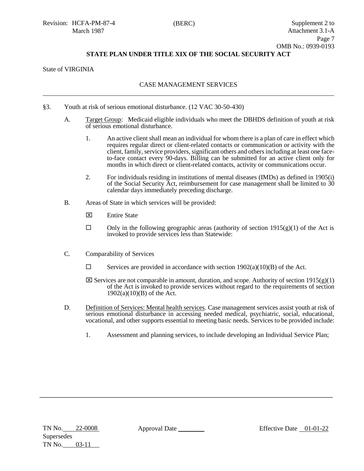## State of VIRGINIA

### CASE MANAGEMENT SERVICES

- §3. Youth at risk of serious emotional disturbance. (12 VAC 30-50-430)
	- A. Target Group: Medicaid eligible individuals who meet the DBHDS definition of youth at risk of serious emotional disturbance.
		- 1. An active client shall mean an individual for whom there is a plan of care in effect which requires regular direct or client-related contacts or communication or activity with the client, family, service providers, significant others and others including at least one faceto-face contact every 90-days. Billing can be submitted for an active client only for months in which direct or client-related contacts, activity or communications occur.
		- 2. For individuals residing in institutions of mental diseases (IMDs) as defined in 1905(i) of the Social Security Act, reimbursement for case management shall be limited to 30 calendar days immediately preceding discharge.
	- B. Areas of State in which services will be provided:
		- **Entire State**
		- $\Box$  Only in the following geographic areas (authority of section 1915(g)(1) of the Act is invoked to provide services less than Statewide:
	- C. Comparability of Services
		- $\square$  Services are provided in accordance with section 1902(a)(10)(B) of the Act.
		- $\boxtimes$  Services are not comparable in amount, duration, and scope. Authority of section 1915(g)(1) of the Act is invoked to provide services without regard to the requirements of section  $1902(a)(10)(B)$  of the Act.
	- D. Definition of Services: Mental health services. Case management services assist youth at risk of serious emotional disturbance in accessing needed medical, psychiatric, social, educational, vocational, and other supports essential to meeting basic needs. Services to be provided include:
		- 1. Assessment and planning services, to include developing an Individual Service Plan;